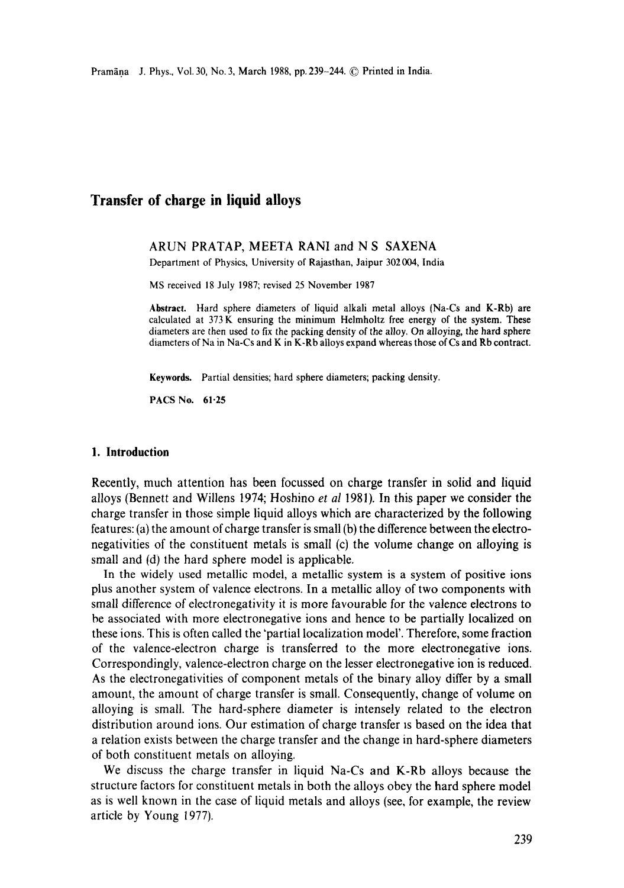# **Transfer of charge in liquid alloys**

#### ARUN PRATAP, MEETA RANI and N S SAXENA

Department of Physics, University of Rajasthan, Jaipur 302004, India

MS received 18 July 1987; revised 25 November 1987

**Abstract.** Hard sphere diameters of liquid alkali metal alloys (Na-Cs and K-Rb) **are**  calculated at 373K ensuring the minimum Helmholtz free energy of the system. These diameters are then used to fix the packing density of the alloy. On alloying, the hard sphere diameters of Na in Na-Cs and K in K-Rb alloys expand whereas those of Cs and Rb **contract.** 

**Keywords.** Partial densities; hard sphere diameters; packing density.

PACS No. 61.25

### **1. Introduction**

Recently, much attention has been focussed on charge transfer in solid and liquid alloys (Bennett and Willens 1974; Hoshino *et al* 1981). In this paper we consider the charge transfer in those simple liquid alloys which are characterized by the following features: (a) the amount of charge transfer is small (b) the difference between the electronegativities of the constituent metals is small (c) the volume change on alloying is small and (d) the hard sphere model is applicable.

In the widely used metallic model, a metallic system is a system of positive ions plus another system of valence electrons. In a metallic alloy of two components with small difference of electronegativity it is more favourable for the valence electrons to be associated with more electronegative ions and hence to be partially localized on these ions. This is often called the 'partial localization model'. Therefore, some fraction of the valence-electron charge is transferred to the more electronegative ions. Correspondingly, valence-electron charge on the lesser electronegative ion is reduced. As the electronegativities of component metals of the binary alloy differ by a small amount, the amount of charge transfer is small. Consequently, change of volume on alloying is small. The hard-sphere diameter is intensely related to the electron distribution around ions. Our estimation of charge transfer is based on the idea that a relation exists between the charge transfer and the change in hard-sphere diameters of both constituent metals on alloying.

We discuss the charge transfer in liquid Na-Cs and K-Rb alloys because the structure factors for constituent metals in both the alloys obey the hard sphere model as is well known in the case of liquid metals and alloys (see, for example, the review article by Young 1977).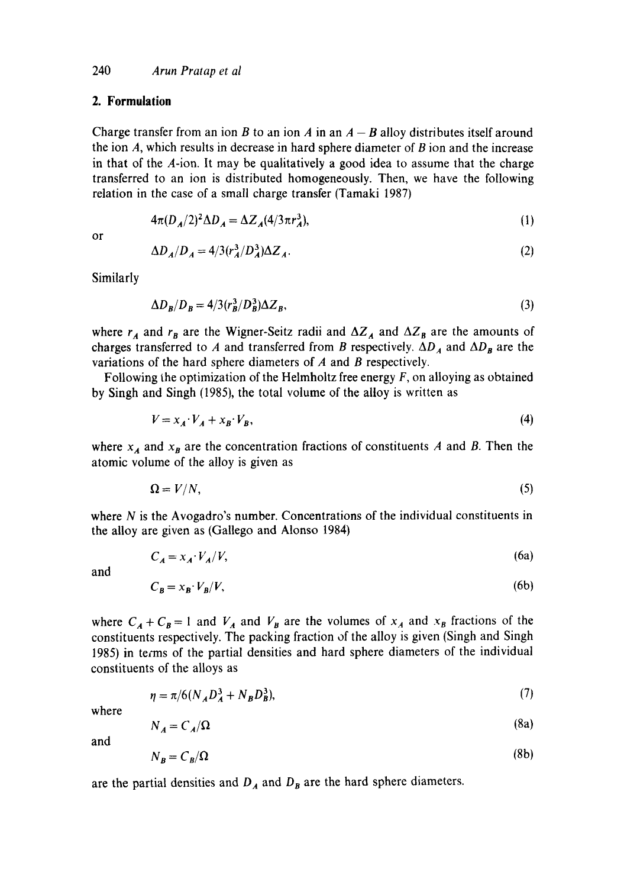# **2. Formulation**

Charge transfer from an ion B to an ion A in an  $A - B$  alloy distributes itself around the ion  $A$ , which results in decrease in hard sphere diameter of  $B$  ion and the increase in that of the A-ion, It may be qualitatively a good idea to assume that the charge transferred to an ion is distributed homogeneously. Then, we have the following relation in the case of a small charge transfer (Tamaki 1987)

$$
4\pi (D_A/2)^2 \Delta D_A = \Delta Z_A (4/3\pi r_A^3),\tag{1}
$$

or

$$
\Delta D_A / D_A = 4/3 (r_A^3 / D_A^3) \Delta Z_A. \tag{2}
$$

Similarly

$$
\Delta D_B/D_B = 4/3 (r_B^3/D_B^3) \Delta Z_B,\tag{3}
$$

where  $r_A$  and  $r_B$  are the Wigner-Seitz radii and  $\Delta Z_A$  and  $\Delta Z_B$  are the amounts of charges transferred to A and transferred from B respectively.  $\Delta D_A$  and  $\Delta D_B$  are the variations of the hard sphere diameters of  $A$  and  $B$  respectively.

Following the optimization of the Helmholtz free energy  $F$ , on alloying as obtained by Singh and Singh (1985), the total volume of the alloy is written as

$$
V = x_A \cdot V_A + x_B \cdot V_B,\tag{4}
$$

where  $x_A$  and  $x_B$  are the concentration fractions of constituents A and B. Then the atomic volume of the alloy is given as

$$
\Omega = V/N,\tag{5}
$$

where  $N$  is the Avogadro's number. Concentrations of the individual constituents in the alloy are given as (Gallego and Alonso 1984)

$$
C_A = x_A \cdot V_A / V, \tag{6a}
$$

and

$$
C_B = x_B \cdot V_B / V,\tag{6b}
$$

where  $C_A + C_B = 1$  and  $V_A$  and  $V_B$  are the volumes of  $x_A$  and  $x_B$  fractions of the constituents respectively. The packing fraction of the alloy is given (Singh and Singh 1985) in terms of the partial densities and hard sphere diameters of the individual constituents of the alloys as

$$
\eta = \pi / 6(N_A D_A^3 + N_B D_B^3),\tag{7}
$$

where

$$
N_A = C_A/\Omega \tag{8a}
$$

and

$$
N_B = C_B/\Omega \tag{8b}
$$

are the partial densities and  $D_A$  and  $D_B$  are the hard sphere diameters.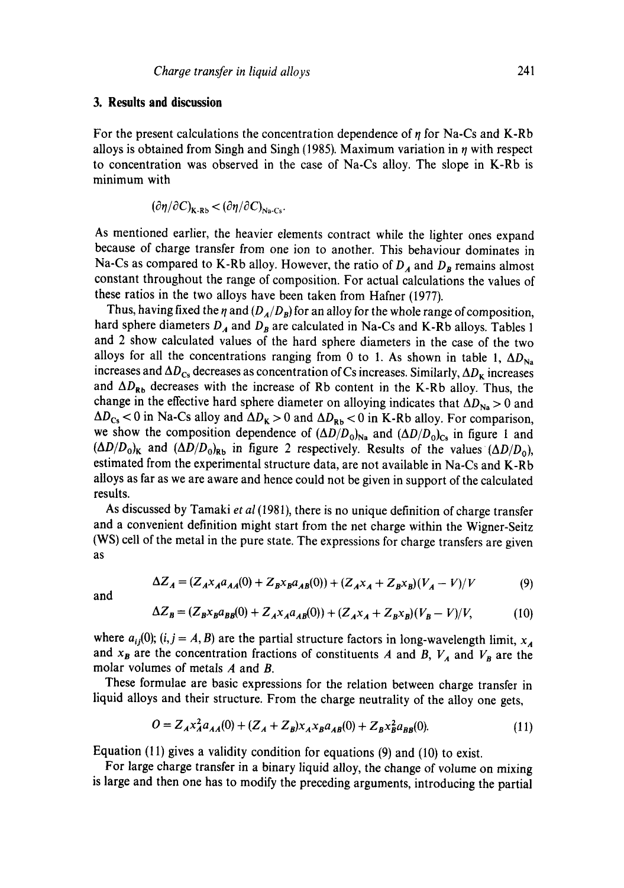## **3. Results and discussion**

For the present calculations the concentration dependence of  $\eta$  for Na-Cs and K-Rb alloys is obtained from Singh and Singh (1985). Maximum variation in  $\eta$  with respect to concentration was observed in the case of Na-Cs alloy. The slope in K-Rb is minimum with

$$
(\partial \eta / \partial C)_{\mathbf{K} \cdot \mathbf{R} b} < (\partial \eta / \partial C)_{\text{Na-Cs}}.
$$

As mentioned earlier, the heavier elements contract while the lighter ones expand because of charge transfer from one ion to another. This behaviour dominates in Na-Cs as compared to K-Rb alloy. However, the ratio of  $D_A$  and  $D_B$  remains almost constant throughout the range of composition. For actual calculations the values of these ratios in the two alloys have been taken from Hafner (1977).

Thus, having fixed the  $\eta$  and  $(D_A/D_B)$  for an alloy for the whole range of composition, hard sphere diameters  $D_A$  and  $D_B$  are calculated in Na-Cs and K-Rb alloys. Tables 1 and 2 show calculated values of the hard sphere diameters in the case of the two alloys for all the concentrations ranging from 0 to 1. As shown in table 1,  $\Delta D_{\text{Na}}$ increases and  $\Delta D_{\text{Cs}}$  decreases as concentration of Cs increases. Similarly,  $\Delta D_{\text{K}}$  increases and  $\Delta D_{\rm Rb}$  decreases with the increase of Rb content in the K-Rb alloy. Thus, the change in the effective hard sphere diameter on alloying indicates that  $\Delta D_{\text{Na}} > 0$  and  $\Delta D_{Cs}$  < 0 in Na-Cs alloy and  $\Delta D_{K} > 0$  and  $\Delta D_{Rb}$  < 0 in K-Rb alloy. For comparison, we show the composition dependence of  $(\Delta D/D_0)_{\text{Na}}$  and  $(\Delta D/D_0)_{\text{Cs}}$  in figure 1 and  $(\Delta D/D_0)_K$  and  $(\Delta D/D_0)_{Rb}$  in figure 2 respectively. Results of the values  $(\Delta D/D_0)$ , estimated from the experimental structure data, are not available in Na-Cs and K-Rb alloys as far as we are aware and hence could not be given in support of the calculated results.

As discussed by Tamaki *et al* (1981), there is no unique definition of charge transfer and a convenient definition might start from the net charge within the Wigner-Seitz (WS) cell of the metal in the pure state. The expressions for charge transfers are given as

$$
\Delta Z_A = (Z_A x_A a_{AA}(0) + Z_B x_B a_{AB}(0)) + (Z_A x_A + Z_B x_B)(V_A - V)/V
$$
(9)

and

$$
\Delta Z_B = (Z_B x_B a_{BB}(0) + Z_A x_A a_{AB}(0)) + (Z_A x_A + Z_B x_B)(V_B - V)/V, \tag{10}
$$

where  $a_{ij}(0)$ ;  $(i, j = A, B)$  are the partial structure factors in long-wavelength limit,  $x_A$ and  $x_B$  are the concentration fractions of constituents A and B,  $V_A$  and  $V_B$  are the molar volumes of metals A and B.

These formulae are basic expressions for the relation between charge transfer in liquid alloys and their structure. From the charge neutrality of the alloy one gets,

$$
O = Z_A x_A^2 a_{AA}(0) + (Z_A + Z_B) x_A x_B a_{AB}(0) + Z_B x_B^2 a_{BB}(0).
$$
 (11)

Equation (11) gives a validity condition for equations (9) and (10) to exist.

For large charge transfer in a binary liquid alloy, the change of volume on mixing is large and then one has to modify the preceding arguments, introducing the partial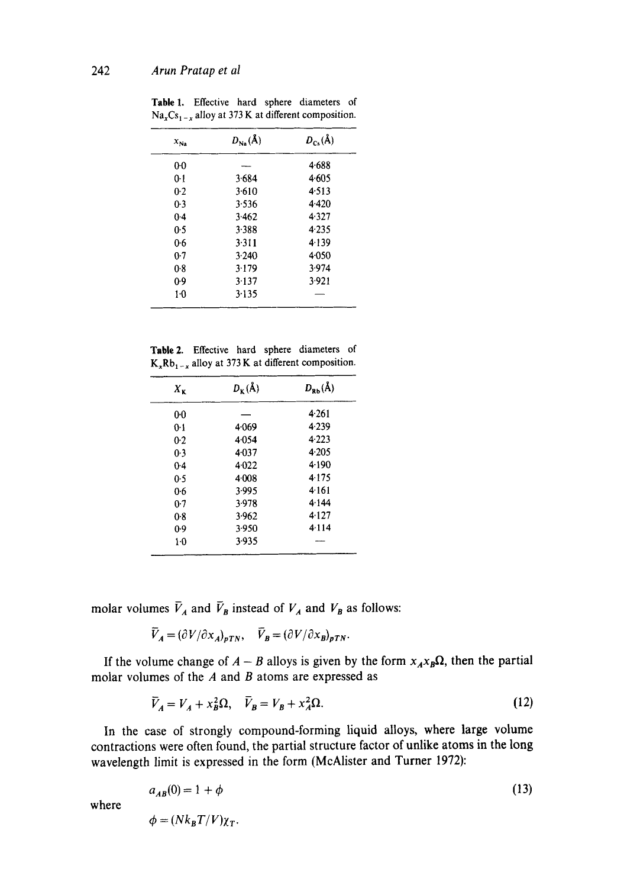| $x_{Na}$ | $D_{Na}(\AA)$ | $D_{Cs}(\AA)$ |
|----------|---------------|---------------|
| $0-0$    |               | 4.688         |
| $0-1$    | 3.684         | 4.605         |
| $0-2$    | 3.610         | 4.513         |
| $0-3$    | 3.536         | 4.420         |
| $0-4$    | 3.462         | 4.327         |
| 0.5      | 3.388         | 4.235         |
| 0.6      | 3.311         | 4.139         |
| 0.7      | 3.240         | 4.050         |
| 0.8      | 3.179         | 3.974         |
| 0.9      | 3.137         | 3.921         |
| $1-0$    | 3.135         |               |

Table 1. Effective hard sphere diameters of  $Na<sub>x</sub>Cs<sub>1-x</sub>$  alloy at 373 K at different composition.

Table2. Effective hard sphere diameters of  $K_xRb_{1-x}$  alloy at 373 K at different composition.

| $X_{\mathbf{K}}$ | $D_{\kappa}(\AA)$ | $D_{\rm Rb}(\AA)$ |
|------------------|-------------------|-------------------|
| 0 <sub>0</sub>   |                   | 4.261             |
| 0-1              | 4.069             | 4.239             |
| 0.2              | 4.054             | 4.223             |
| 0.3              | $4 - 037$         | $4 - 205$         |
| 0.4              | 4.022             | 4.190             |
| 0.5              | 4.008             | 4.175             |
| 0.6              | 3.995             | 4.161             |
| 0.7              | 3.978             | 4.144             |
| 0.8              | 3.962             | 4.127             |
| 0.9              | 3.950             | 4.114             |
| 1.0              | 3.935             |                   |

molar volumes  $\bar{V}_A$  and  $\bar{V}_B$  instead of  $V_A$  and  $V_B$  as follows:

$$
\overline{V}_A = (\partial V / \partial x_A)_{pTN}, \quad \overline{V}_B = (\partial V / \partial x_B)_{pTN}.
$$

where

If the volume change of  $A - B$  alloys is given by the form  $x_A x_B \Omega$ , then the partial molar volumes of the  $A$  and  $B$  atoms are expressed as

$$
\overline{V}_A = V_A + x_B^2 \Omega, \quad \overline{V}_B = V_B + x_A^2 \Omega. \tag{12}
$$

In the case of strongly compound-forming liquid alloys, where large volume contractions were often found, the partial structure factor of unlike atoms in the long wavelength limit is expressed in the form (McAlister and Turner 1972):

$$
a_{AB}(0) = 1 + \phi
$$
  
\n
$$
\phi = (Nk_B T/V)\chi_T.
$$
\n(13)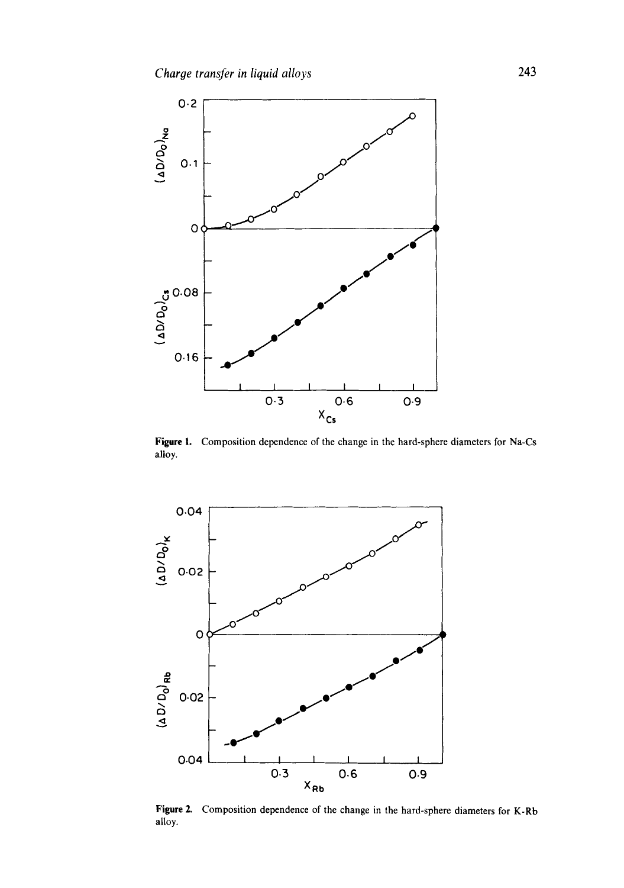

Figure 1. Composition dependence of the change in the hard-sphere diameters for Na-Cs alloy.



Figure 2. Composition dependence of the change in the hard-sphere diameters for K-Rb alloy.